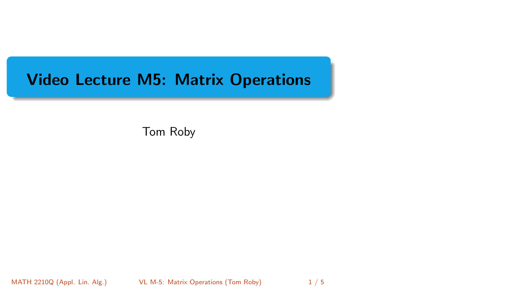# <span id="page-0-0"></span>Video Lecture M5: Matrix Operations

Tom Roby

MATH 2210Q (Appl. Lin. Alg.) [VL M-5: Matrix Operations](#page-4-0) (Tom Roby) 1/5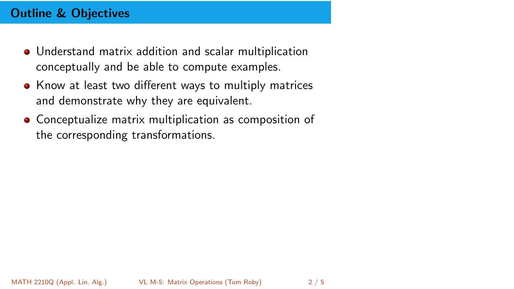# Outline & Objectives

- Understand matrix addition and scalar multiplication conceptually and be able to compute examples.
- Know at least two different ways to multiply matrices and demonstrate why they are equivalent.
- Conceptualize matrix multiplication as composition of the corresponding transformations.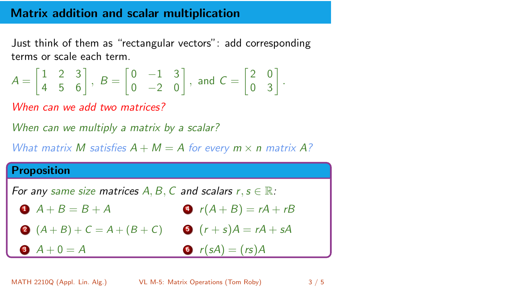### Matrix addition and scalar multiplication

Just think of them as "rectangular vectors": add corresponding terms or scale each term.

$$
A = \begin{bmatrix} 1 & 2 & 3 \\ 4 & 5 & 6 \end{bmatrix}, B = \begin{bmatrix} 0 & -1 & 3 \\ 0 & -2 & 0 \end{bmatrix}, \text{ and } C = \begin{bmatrix} 2 & 0 \\ 0 & 3 \end{bmatrix}.
$$

When can we add two matrices?

When can we multiply a matrix by a scalar?

What matrix M satisfies  $A + M = A$  for every  $m \times n$  matrix A?

#### Proposition

For any same size matrices A, B, C and scalars  $r, s \in \mathbb{R}$ :

- $A + B = B + A$  $f(A + B) = rA + rB$
- **2**  $(A + B) + C = A + (B + C)$  **3**  $(r + s)A = rA + sA$
- $A + 0 = A$  $\bullet$   $r(sA) = (rs)A$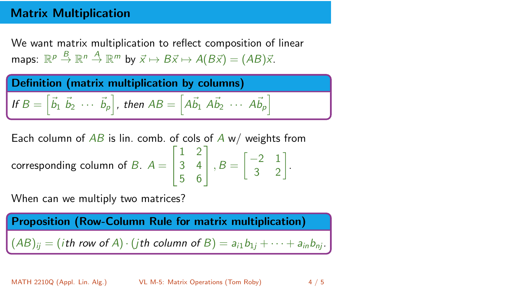## Matrix Multiplication

We want matrix multiplication to reflect composition of linear maps:  $\mathbb{R}^p \stackrel{B}{\to} \mathbb{R}^n \stackrel{A}{\to} \mathbb{R}^m$  by  $\vec{x} \mapsto B\vec{x} \mapsto A(B\vec{x}) = (AB)\vec{x}$ .



Each column of *AB* is lin. comb. of *cols* of *A* w/*w*eights from corresponding column of *B*. 
$$
A = \begin{bmatrix} 1 & 2 \\ 3 & 4 \\ 5 & 6 \end{bmatrix}
$$
,  $B = \begin{bmatrix} -2 & 1 \\ 3 & 2 \end{bmatrix}$ .

When can we multiply two matrices?

Proposition (Row-Column Rule for matrix multiplication)  $(AB)_{ii} = (i\text{th row of } A) \cdot (j\text{th column of } B) = a_{i1}b_{1i} + \cdots + a_{in}b_{ni}.$